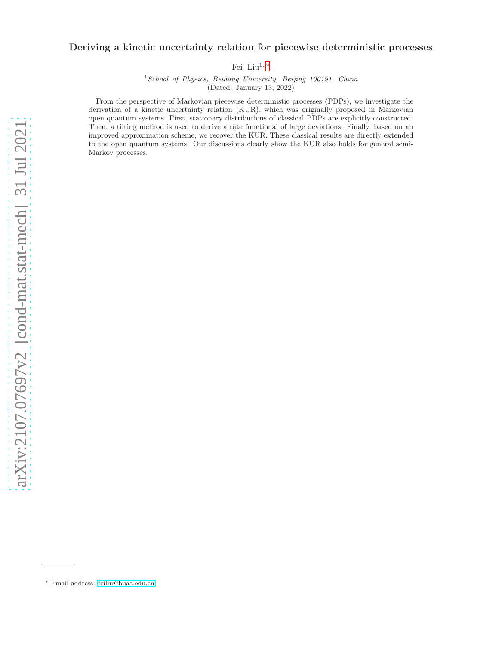# Deriving a kinetic uncertainty relation for piecewise deterministic processes

Fei Liu $^{1,\,*}$ 

<sup>1</sup>*School of Physics, Beihang University, Beijing 100191, China* (Dated: January 13, 2022)

From the perspective of Markovian piecewise deterministic processes (PDPs), we investigate the derivation of a kinetic uncertainty relation (KUR), which was originally proposed in Markovian open quantum systems. First, stationary distributions of classical PDPs are explicitly constructed. Then, a tilting method is used to derive a rate functional of large deviations. Finally, based on an improved approximation scheme, we recover the KUR. These classical results are directly extended to the open quantum systems. Our discussions clearly show the KUR also holds for general semi-Markov processes.

<span id="page-0-0"></span><sup>∗</sup> Email address: [feiliu@buaa.edu.cn](mailto:feiliu@buaa.edu.cn)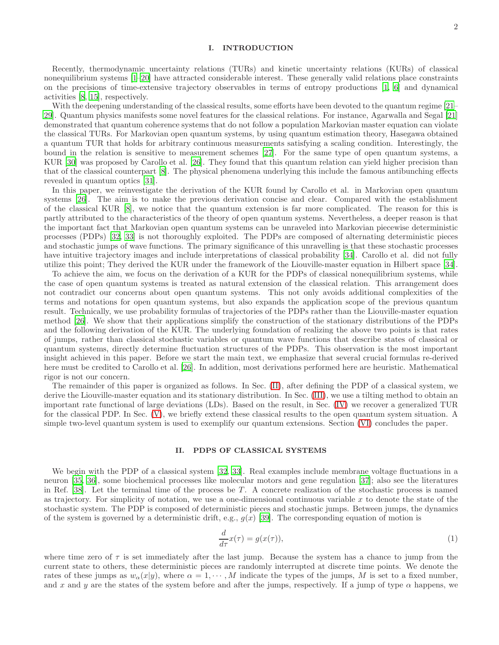## I. INTRODUCTION

Recently, thermodynamic uncertainty relations (TURs) and kinetic uncertainty relations (KURs) of classical nonequilibrium systems [\[1](#page-12-0)[–20\]](#page-12-1) have attracted considerable interest. These generally valid relations place constraints on the precisions of time-extensive trajectory observables in terms of entropy productions [\[1,](#page-12-0) [6\]](#page-12-2) and dynamical activities [\[8](#page-12-3), [15](#page-12-4)], respectively.

With the deepening understanding of the classical results, some efforts have been devoted to the quantum regime [\[21](#page-12-5)– [29\]](#page-13-0). Quantum physics manifests some novel features for the classical relations. For instance, Agarwalla and Segal [\[21](#page-12-5)] demonstrated that quantum coherence systems that do not follow a population Markovian master equation can violate the classical TURs. For Markovian open quantum systems, by using quantum estimation theory, Hasegawa obtained a quantum TUR that holds for arbitrary continuous measurements satisfying a scaling condition. Interestingly, the bound in the relation is sensitive to measurement schemes [\[27](#page-13-1)]. For the same type of open quantum systems, a KUR [\[30\]](#page-13-2) was proposed by Carollo et al. [\[26\]](#page-12-6). They found that this quantum relation can yield higher precision than that of the classical counterpart [\[8\]](#page-12-3). The physical phenomena underlying this include the famous antibunching effects revealed in quantum optics [\[31](#page-13-3)].

In this paper, we reinvestigate the derivation of the KUR found by Carollo et al. in Markovian open quantum systems [\[26](#page-12-6)]. The aim is to make the previous derivation concise and clear. Compared with the establishment of the classical KUR [\[8\]](#page-12-3), we notice that the quantum extension is far more complicated. The reason for this is partly attributed to the characteristics of the theory of open quantum systems. Nevertheless, a deeper reason is that the important fact that Markovian open quantum systems can be unraveled into Markovian piecewise deterministic processes (PDPs) [\[32](#page-13-4), [33\]](#page-13-5) is not thoroughly exploited. The PDPs are composed of alternating deterministic pieces and stochastic jumps of wave functions. The primary significance of this unravelling is that these stochastic processes have intuitive trajectory images and include interpretations of classical probability [\[34](#page-13-6)]. Carollo et al. did not fully utilize this point; They derived the KUR under the framework of the Liouville-master equation in Hilbert space [\[34\]](#page-13-6).

To achieve the aim, we focus on the derivation of a KUR for the PDPs of classical nonequilibrium systems, while the case of open quantum systems is treated as natural extension of the classical relation. This arrangement does not contradict our concerns about open quantum systems. This not only avoids additional complexities of the terms and notations for open quantum systems, but also expands the application scope of the previous quantum result. Technically, we use probability formulas of trajectories of the PDPs rather than the Liouville-master equation method [\[26](#page-12-6)]. We show that their applications simplify the construction of the stationary distributions of the PDPs and the following derivation of the KUR. The underlying foundation of realizing the above two points is that rates of jumps, rather than classical stochastic variables or quantum wave functions that describe states of classical or quantum systems, directly determine fluctuation structures of the PDPs. This observation is the most important insight achieved in this paper. Before we start the main text, we emphasize that several crucial formulas re-derived here must be credited to Carollo et al. [\[26\]](#page-12-6). In addition, most derivations performed here are heuristic. Mathematical rigor is not our concern.

The remainder of this paper is organized as follows. In Sec. [\(II\)](#page-1-0), after defining the PDP of a classical system, we derive the Liouville-master equation and its stationary distribution. In Sec. [\(III\)](#page-4-0), we use a tilting method to obtain an important rate functional of large deviations (LDs). Based on the result, in Sec. [\(IV\)](#page-5-0) we recover a generalized TUR for the classical PDP. In Sec. [\(V\)](#page-7-0), we briefly extend these classical results to the open quantum system situation. A simple two-level quantum system is used to exemplify our quantum extensions. Section [\(VI\)](#page-10-0) concludes the paper.

#### <span id="page-1-0"></span>II. PDPS OF CLASSICAL SYSTEMS

We begin with the PDP of a classical system [\[32,](#page-13-4) [33](#page-13-5)]. Real examples include membrane voltage fluctuations in a neuron [\[35,](#page-13-7) [36](#page-13-8)], some biochemical processes like molecular motors and gene regulation [\[37\]](#page-13-9); also see the literatures in Ref.  $[38]$ . Let the terminal time of the process be T. A concrete realization of the stochastic process is named as trajectory. For simplicity of notation, we use a one-dimensional continuous variable  $x$  to denote the state of the stochastic system. The PDP is composed of deterministic pieces and stochastic jumps. Between jumps, the dynamics of the system is governed by a deterministic drift, e.g.,  $g(x)$  [\[39](#page-13-11)]. The corresponding equation of motion is

<span id="page-1-1"></span>
$$
\frac{d}{d\tau}x(\tau) = g(x(\tau)),\tag{1}
$$

where time zero of  $\tau$  is set immediately after the last jump. Because the system has a chance to jump from the current state to others, these deterministic pieces are randomly interrupted at discrete time points. We denote the rates of these jumps as  $w_{\alpha}(x|y)$ , where  $\alpha = 1, \dots, M$  indicate the types of the jumps, M is set to a fixed number, and x and y are the states of the system before and after the jumps, respectively. If a jump of type  $\alpha$  happens, we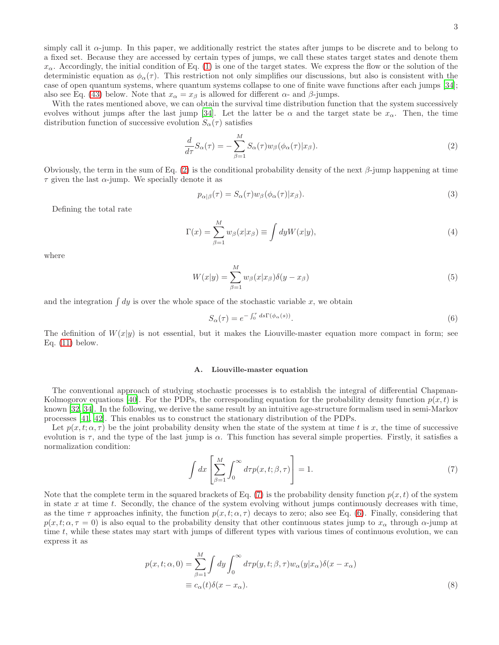simply call it  $\alpha$ -jump. In this paper, we additionally restrict the states after jumps to be discrete and to belong to a fixed set. Because they are accessed by certain types of jumps, we call these states target states and denote them  $x_\alpha$ . Accordingly, the initial condition of Eq. [\(1\)](#page-1-1) is one of the target states. We express the flow or the solution of the deterministic equation as  $\phi_\alpha(\tau)$ . This restriction not only simplifies our discussions, but also is consistent with the case of open quantum systems, where quantum systems collapse to one of finite wave functions after each jumps [\[34\]](#page-13-6); also see Eq. [\(43\)](#page-8-0) below. Note that  $x_{\alpha} = x_{\beta}$  is allowed for different  $\alpha$ - and  $\beta$ -jumps.

With the rates mentioned above, we can obtain the survival time distribution function that the system successively evolves without jumps after the last jump [\[34\]](#page-13-6). Let the latter be  $\alpha$  and the target state be  $x_{\alpha}$ . Then, the time distribution function of successive evolution  $S_{\alpha}(\tau)$  satisfies

<span id="page-2-0"></span>
$$
\frac{d}{d\tau}S_{\alpha}(\tau) = -\sum_{\beta=1}^{M} S_{\alpha}(\tau)w_{\beta}(\phi_{\alpha}(\tau)|x_{\beta}).
$$
\n(2)

Obviously, the term in the sum of Eq. [\(2\)](#page-2-0) is the conditional probability density of the next  $\beta$ -jump happening at time  $\tau$  given the last  $\alpha$ -jump. We specially denote it as

$$
p_{\alpha|\beta}(\tau) = S_{\alpha}(\tau)w_{\beta}(\phi_{\alpha}(\tau)|x_{\beta}).\tag{3}
$$

Defining the total rate

$$
\Gamma(x) = \sum_{\beta=1}^{M} w_{\beta}(x|x_{\beta}) \equiv \int dy W(x|y), \tag{4}
$$

where

<span id="page-2-4"></span>
$$
W(x|y) = \sum_{\beta=1}^{M} w_{\beta}(x|x_{\beta})\delta(y-x_{\beta})
$$
\n(5)

and the integration  $\int dy$  is over the whole space of the stochastic variable x, we obtain

<span id="page-2-2"></span>
$$
S_{\alpha}(\tau) = e^{-\int_0^{\tau} ds \Gamma(\phi_{\alpha}(s))}.
$$
\n(6)

The definition of  $W(x|y)$  is not essential, but it makes the Liouville-master equation more compact in form; see Eq.  $(11)$  below.

#### A. Liouville-master equation

The conventional approach of studying stochastic processes is to establish the integral of differential Chapman-Kolmogorov equations [\[40\]](#page-13-12). For the PDPs, the corresponding equation for the probability density function  $p(x, t)$  is known [\[32,](#page-13-4) [34\]](#page-13-6). In the following, we derive the same result by an intuitive age-structure formalism used in semi-Markov processes [\[41,](#page-13-13) [42\]](#page-13-14). This enables us to construct the stationary distribution of the PDPs.

Let  $p(x, t; \alpha, \tau)$  be the joint probability density when the state of the system at time t is x, the time of successive evolution is  $\tau$ , and the type of the last jump is  $\alpha$ . This function has several simple properties. Firstly, it satisfies a normalization condition:

<span id="page-2-1"></span>
$$
\int dx \left[ \sum_{\beta=1}^{M} \int_0^{\infty} dr p(x, t; \beta, \tau) \right] = 1.
$$
\n(7)

Note that the complete term in the squared brackets of Eq. [\(7\)](#page-2-1) is the probability density function  $p(x, t)$  of the system in state  $x$  at time  $t$ . Secondly, the chance of the system evolving without jumps continuously decreases with time, as the time  $\tau$  approaches infinity, the function  $p(x, t; \alpha, \tau)$  decays to zero; also see Eq. [\(6\)](#page-2-2). Finally, considering that  $p(x, t; \alpha, \tau = 0)$  is also equal to the probability density that other continuous states jump to  $x_\alpha$  through  $\alpha$ -jump at time t, while these states may start with jumps of different types with various times of continuous evolution, we can express it as

<span id="page-2-3"></span>
$$
p(x, t; \alpha, 0) = \sum_{\beta=1}^{M} \int dy \int_0^{\infty} dr p(y, t; \beta, \tau) w_{\alpha}(y | x_{\alpha}) \delta(x - x_{\alpha})
$$
  

$$
\equiv c_{\alpha}(t) \delta(x - x_{\alpha}).
$$
 (8)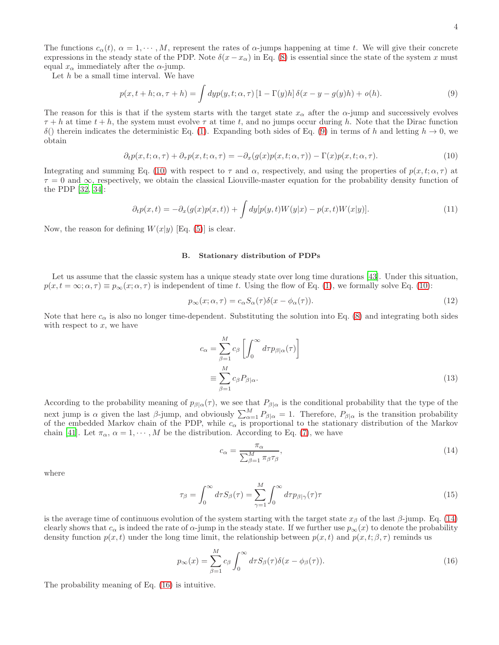The functions  $c_{\alpha}(t)$ ,  $\alpha = 1, \dots, M$ , represent the rates of  $\alpha$ -jumps happening at time t. We will give their concrete expressions in the steady state of the PDP. Note  $\delta(x - x_{\alpha})$  in Eq. [\(8\)](#page-2-3) is essential since the state of the system x must equal  $x_{\alpha}$  immediately after the  $\alpha$ -jump.

Let  $h$  be a small time interval. We have

<span id="page-3-1"></span>
$$
p(x, t+h; \alpha, \tau+h) = \int dy p(y, t; \alpha, \tau) \left[1 - \Gamma(y)h\right] \delta(x - y - g(y)h) + o(h). \tag{9}
$$

The reason for this is that if the system starts with the target state  $x_{\alpha}$  after the  $\alpha$ -jump and successively evolves  $\tau + h$  at time  $t + h$ , the system must evolve  $\tau$  at time t, and no jumps occur during h. Note that the Dirac function δ() therein indicates the deterministic Eq. [\(1\)](#page-1-1). Expanding both sides of Eq. [\(9\)](#page-3-1) in terms of h and letting h → 0, we obtain

<span id="page-3-2"></span>
$$
\partial_t p(x, t; \alpha, \tau) + \partial_\tau p(x, t; \alpha, \tau) = -\partial_x (g(x)p(x, t; \alpha, \tau)) - \Gamma(x)p(x, t; \alpha, \tau). \tag{10}
$$

Integrating and summing Eq. [\(10\)](#page-3-2) with respect to  $\tau$  and  $\alpha$ , respectively, and using the properties of  $p(x, t; \alpha, \tau)$  at  $\tau = 0$  and  $\infty$ , respectively, we obtain the classical Liouville-master equation for the probability density function of the PDP [\[32](#page-13-4), [34\]](#page-13-6):

<span id="page-3-0"></span>
$$
\partial_t p(x,t) = -\partial_x(g(x)p(x,t)) + \int dy[p(y,t)W(y|x) - p(x,t)W(x|y)]. \tag{11}
$$

Now, the reason for defining  $W(x|y)$  [Eq. [\(5\)](#page-2-4)] is clear.

#### B. Stationary distribution of PDPs

Let us assume that the classic system has a unique steady state over long time durations [\[43](#page-13-15)]. Under this situation,  $p(x, t = \infty; \alpha, \tau) \equiv p_{\infty}(x; \alpha, \tau)$  is independent of time t. Using the flow of Eq. [\(1\)](#page-1-1), we formally solve Eq. [\(10\)](#page-3-2):

$$
p_{\infty}(x;\alpha,\tau) = c_{\alpha} S_{\alpha}(\tau) \delta(x - \phi_{\alpha}(\tau)). \tag{12}
$$

Note that here  $c_{\alpha}$  is also no longer time-dependent. Substituting the solution into Eq. [\(8\)](#page-2-3) and integrating both sides with respect to  $x$ , we have

<span id="page-3-5"></span>
$$
c_{\alpha} = \sum_{\beta=1}^{M} c_{\beta} \left[ \int_{0}^{\infty} d\tau p_{\beta|\alpha}(\tau) \right]
$$
  

$$
\equiv \sum_{\beta=1}^{M} c_{\beta} P_{\beta|\alpha}.
$$
 (13)

According to the probability meaning of  $p_{\beta|\alpha}(\tau)$ , we see that  $P_{\beta|\alpha}$  is the conditional probability that the type of the next jump is  $\alpha$  given the last  $\beta$ -jump, and obviously  $\sum_{\alpha=1}^{M} P_{\beta|\alpha} = 1$ . Therefore,  $P_{\beta|\alpha}$  is the transition probability of the embedded Markov chain of the PDP, while  $c_{\alpha}$  is proportional to the stationary distribution of the Markov chain [\[41\]](#page-13-13). Let  $\pi_{\alpha}, \alpha = 1, \cdots, M$  be the distribution. According to Eq. [\(7\)](#page-2-1), we have

<span id="page-3-3"></span>
$$
c_{\alpha} = \frac{\pi_{\alpha}}{\sum_{\beta=1}^{M} \pi_{\beta} \tau_{\beta}},\tag{14}
$$

where

<span id="page-3-6"></span>
$$
\tau_{\beta} = \int_0^{\infty} d\tau S_{\beta}(\tau) = \sum_{\gamma=1}^{M} \int_0^{\infty} d\tau p_{\beta|\gamma}(\tau)\tau
$$
\n(15)

is the average time of continuous evolution of the system starting with the target state  $x_\beta$  of the last  $\beta$ -jump. Eq. [\(14\)](#page-3-3) clearly shows that  $c_{\alpha}$  is indeed the rate of  $\alpha$ -jump in the steady state. If we further use  $p_{\infty}(x)$  to denote the probability density function  $p(x, t)$  under the long time limit, the relationship between  $p(x, t)$  and  $p(x, t; \beta, \tau)$  reminds us

<span id="page-3-4"></span>
$$
p_{\infty}(x) = \sum_{\beta=1}^{M} c_{\beta} \int_{0}^{\infty} d\tau S_{\beta}(\tau) \delta(x - \phi_{\beta}(\tau)).
$$
\n(16)

The probability meaning of Eq. [\(16\)](#page-3-4) is intuitive.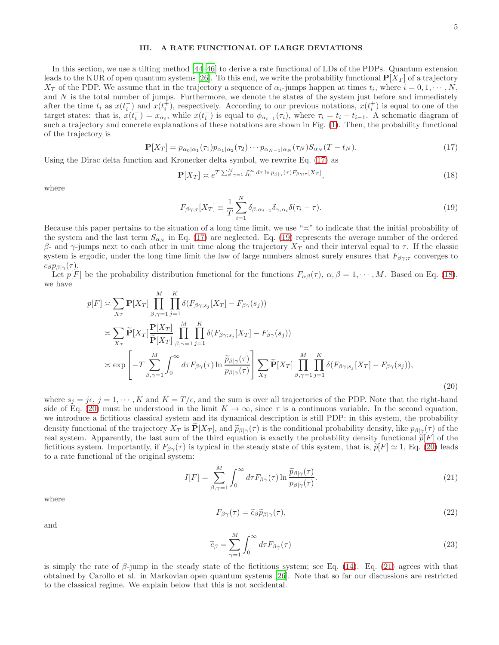## <span id="page-4-0"></span>III. A RATE FUNCTIONAL OF LARGE DEVIATIONS

In this section, we use a tilting method [\[44](#page-13-16)[–46\]](#page-13-17) to derive a rate functional of LDs of the PDPs. Quantum extension leads to the KUR of open quantum systems [\[26\]](#page-12-6). To this end, we write the probability functional  $\mathbf{P}[X_T]$  of a trajectory  $X_T$  of the PDP. We assume that in the trajectory a sequence of  $\alpha_i$ -jumps happen at times  $t_i$ , where  $i = 0, 1, \dots, N$ , and  $N$  is the total number of jumps. Furthermore, we denote the states of the system just before and immediately after the time  $t_i$  as  $x(t_i^-)$  and  $x(t_i^+)$ , respectively. According to our previous notations,  $x(t_i^+)$  is equal to one of the target states: that is,  $x(t_i^+) = x_{\alpha_i}$ , while  $x(t_i^-)$  is equal to  $\phi_{\alpha_{i-1}}(\tau_i)$ , where  $\tau_i = t_i - t_{i-1}$ . A schematic diagram of such a trajectory and concrete explanations of these notations are shown in Fig. [\(1\)](#page-5-1). Then, the probability functional of the trajectory is

<span id="page-4-1"></span>
$$
\mathbf{P}[X_T] = p_{\alpha_0|\alpha_1}(\tau_1)p_{\alpha_1|\alpha_2}(\tau_2)\cdots p_{\alpha_{N-1}|\alpha_N}(\tau_N)S_{\alpha_N}(T-t_N). \tag{17}
$$

Using the Dirac delta function and Kronecker delta symbol, we rewrite Eq. [\(17\)](#page-4-1) as

<span id="page-4-3"></span>
$$
\mathbf{P}[X_T] \simeq e^{T\sum_{\beta,\gamma=1}^M \int_0^\infty d\tau \ln p_{\beta|\gamma}(\tau) F_{\beta\gamma;\tau}[X_T]},\tag{18}
$$

where

<span id="page-4-2"></span>
$$
F_{\beta\gamma;\tau}[X_T] \equiv \frac{1}{T} \sum_{i=1}^{N} \delta_{\beta,\alpha_{i-1}} \delta_{\gamma,\alpha_i} \delta(\tau_i - \tau). \tag{19}
$$

Because this paper pertains to the situation of a long time limit, we use "≍" to indicate that the initial probability of the system and the last term  $S_{\alpha_N}$  in Eq. [\(17\)](#page-4-1) are neglected. Eq. [\(19\)](#page-4-2) represents the average number of the ordered β- and  $γ$ -jumps next to each other in unit time along the trajectory  $X_T$  and their interval equal to  $τ$ . If the classic system is ergodic, under the long time limit the law of large numbers almost surely ensures that  $F_{\beta\gamma;\tau}$  converges to  $c_{\beta}p_{\beta|\gamma}(\tau).$ 

Let  $p[F]$  be the probability distribution functional for the functions  $F_{\alpha\beta}(\tau)$ ,  $\alpha, \beta = 1, \dots, M$ . Based on Eq. [\(18\)](#page-4-3), we have

<span id="page-4-4"></span>
$$
p[F] \approx \sum_{X_T} \mathbf{P}[X_T] \prod_{\beta,\gamma=1}^M \prod_{j=1}^K \delta(F_{\beta\gamma;s_j}[X_T] - F_{\beta\gamma}(s_j))
$$
  
\n
$$
\approx \sum_{X_T} \widetilde{\mathbf{P}}[X_T] \frac{\mathbf{P}[X_T]}{\widetilde{\mathbf{P}}[X_T]} \prod_{\beta,\gamma=1}^M \prod_{j=1}^K \delta(F_{\beta\gamma;s_j}[X_T] - F_{\beta\gamma}(s_j))
$$
  
\n
$$
\approx \exp\left[-T \sum_{\beta,\gamma=1}^M \int_0^\infty d\tau F_{\beta\gamma}(\tau) \ln \frac{\widetilde{p}_{\beta|\gamma}(\tau)}{p_{\beta|\gamma}(\tau)} \right] \sum_{X_T} \widetilde{\mathbf{P}}[X_T] \prod_{\beta,\gamma=1}^M \prod_{j=1}^K \delta(F_{\beta\gamma;s_j}[X_T] - F_{\beta\gamma}(s_j)),
$$
\n(20)

where  $s_i = j\epsilon, j = 1, \cdots, K$  and  $K = T/\epsilon$ , and the sum is over all trajectories of the PDP. Note that the right-hand side of Eq. [\(20\)](#page-4-4) must be understood in the limit  $K \to \infty$ , since  $\tau$  is a continuous variable. In the second equation, we introduce a fictitious classical system and its dynamical description is still PDP: in this system, the probability density functional of the trajectory  $X_T$  is  $\mathbf{P}[X_T]$ , and  $\widetilde{p}_{\beta|\gamma}(\tau)$  is the conditional probability density, like  $p_{\beta|\gamma}(\tau)$  of the real system. Apparently, the last sum of the third equation is exactly the probability density functional  $\tilde{p}[F]$  of the fictitious system. Importantly, if  $F_{\beta\gamma}(\tau)$  is typical in the steady state of this system, that is,  $\tilde{p}[F] \simeq 1$ , Eq. [\(20\)](#page-4-4) leads to a rate functional of the original system:

<span id="page-4-5"></span>
$$
I[F] = \sum_{\beta,\gamma=1}^{M} \int_0^{\infty} d\tau F_{\beta\gamma}(\tau) \ln \frac{\widetilde{p}_{\beta|\gamma}(\tau)}{p_{\beta|\gamma}(\tau)}.
$$
\n(21)

where

<span id="page-4-6"></span>
$$
F_{\beta\gamma}(\tau) = \tilde{c}_{\beta}\tilde{p}_{\beta|\gamma}(\tau),\tag{22}
$$

and

$$
\widetilde{c}_{\beta} = \sum_{\gamma=1}^{M} \int_{0}^{\infty} d\tau F_{\beta\gamma}(\tau) \tag{23}
$$

is simply the rate of  $\beta$ -jump in the steady state of the fictitious system; see Eq. [\(14\)](#page-3-3). Eq. [\(21\)](#page-4-5) agrees with that obtained by Carollo et al. in Markovian open quantum systems [\[26\]](#page-12-6). Note that so far our discussions are restricted to the classical regime. We explain below that this is not accidental.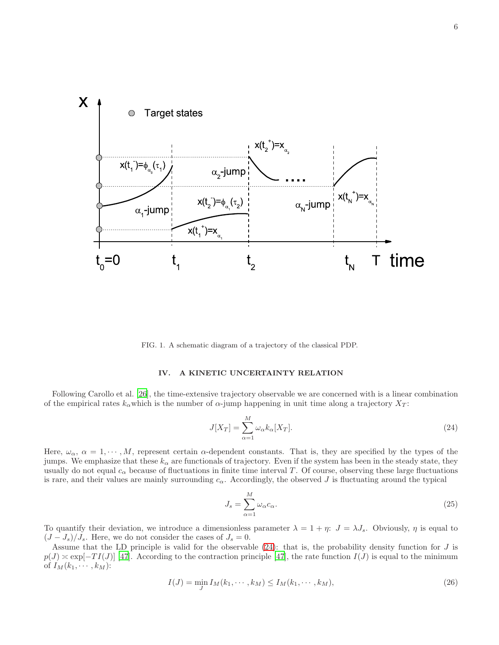

FIG. 1. A schematic diagram of a trajectory of the classical PDP.

## <span id="page-5-1"></span><span id="page-5-0"></span>IV. A KINETIC UNCERTAINTY RELATION

Following Carollo et al. [\[26](#page-12-6)], the time-extensive trajectory observable we are concerned with is a linear combination of the empirical rates  $k_{\alpha}$  which is the number of  $\alpha$ -jump happening in unit time along a trajectory  $X_T$ :

<span id="page-5-2"></span>
$$
J[X_T] = \sum_{\alpha=1}^{M} \omega_{\alpha} k_{\alpha}[X_T].
$$
\n(24)

Here,  $\omega_{\alpha}$ ,  $\alpha = 1, \dots, M$ , represent certain  $\alpha$ -dependent constants. That is, they are specified by the types of the jumps. We emphasize that these  $k_{\alpha}$  are functionals of trajectory. Even if the system has been in the steady state, they usually do not equal  $c_{\alpha}$  because of fluctuations in finite time interval T. Of course, observing these large fluctuations is rare, and their values are mainly surrounding  $c_{\alpha}$ . Accordingly, the observed J is fluctuating around the typical

$$
J_s = \sum_{\alpha=1}^{M} \omega_{\alpha} c_{\alpha}.
$$
 (25)

To quantify their deviation, we introduce a dimensionless parameter  $\lambda = 1 + \eta$ :  $J = \lambda J_s$ . Obviously,  $\eta$  is equal to  $(J - J_s)/J_s$ . Here, we do not consider the cases of  $J_s = 0$ .

Assume that the LD principle is valid for the observable  $(24)$ : that is, the probability density function for  $J$  is  $p(J) \approx \exp[-TI(J)]$  [\[47\]](#page-13-18). According to the contraction principle [47], the rate function  $I(J)$  is equal to the minimum of  $I_M(k_1, \dots, k_M)$ :

<span id="page-5-3"></span>
$$
I(J) = \min_{J} I_M(k_1, \cdots, k_M) \le I_M(k_1, \cdots, k_M),
$$
\n<sup>(26)</sup>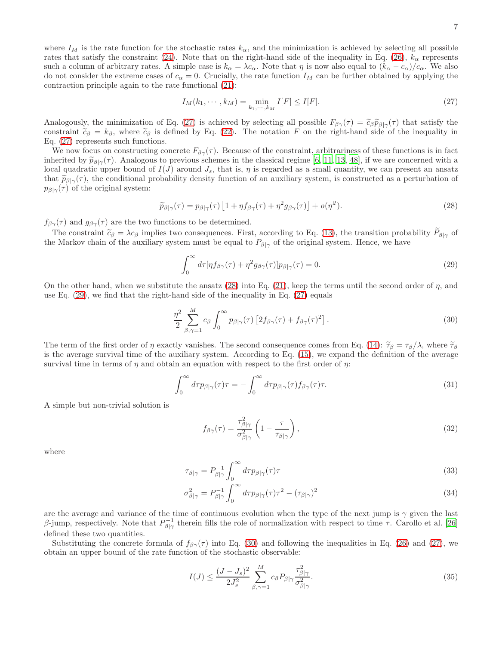7

where  $I_M$  is the rate function for the stochastic rates  $k_\alpha$ , and the minimization is achieved by selecting all possible rates that satisfy the constraint [\(24\)](#page-5-2). Note that on the right-hand side of the inequality in Eq. [\(26\)](#page-5-3),  $k_{\alpha}$  represents such a column of arbitrary rates. A simple case is  $k_{\alpha} = \lambda c_{\alpha}$ . Note that  $\eta$  is now also equal to  $(k_{\alpha} - c_{\alpha})/c_{\alpha}$ . We also do not consider the extreme cases of  $c_{\alpha} = 0$ . Crucially, the rate function  $I_M$  can be further obtained by applying the contraction principle again to the rate functional [\(21\)](#page-4-5):

<span id="page-6-0"></span>
$$
I_M(k_1, \cdots, k_M) = \min_{k_1, \cdots, k_M} I[F] \le I[F].
$$
\n(27)

Analogously, the minimization of Eq. [\(27\)](#page-6-0) is achieved by selecting all possible  $F_{\beta\gamma}(\tau) = \tilde{c}_{\beta}\tilde{p}_{\beta|\gamma}(\tau)$  that satisfy the constraint  $\tilde{c}_{\beta} = k_{\beta}$ , where  $\tilde{c}_{\beta}$  is defined by Eq. [\(22\)](#page-4-6). The notation F on the right-hand side of the inequality in Eq. [\(27\)](#page-6-0) represents such functions.

We now focus on constructing concrete  $F_{\beta\gamma}(\tau)$ . Because of the constraint, arbitrariness of these functions is in fact inherited by  $\tilde{p}_{\beta|\gamma}(\tau)$ . Analogous to previous schemes in the classical regime [\[6,](#page-12-2) [11,](#page-12-7) [13,](#page-12-8) [48\]](#page-13-19), if we are concerned with a local quadratic upper bound of  $I(J)$  around  $J_s$ , that is,  $\eta$  is regarded as a small quantity, we can present an ansatz that  $\widetilde{p}_{\beta|\gamma}(\tau)$ , the conditional probability density function of an auxiliary system, is constructed as a perturbation of  $p_{\beta|\gamma}(\tau)$  of the original system:

<span id="page-6-1"></span>
$$
\widetilde{p}_{\beta|\gamma}(\tau) = p_{\beta|\gamma}(\tau) \left[ 1 + \eta f_{\beta\gamma}(\tau) + \eta^2 g_{\beta\gamma}(\tau) \right] + o(\eta^2). \tag{28}
$$

 $f_{\beta\gamma}(\tau)$  and  $g_{\beta\gamma}(\tau)$  are the two functions to be determined.

The constraint  $\tilde{c}_{\beta} = \lambda c_{\beta}$  implies two consequences. First, according to Eq. [\(13\)](#page-3-5), the transition probability  $P_{\beta|\gamma}$  of the Markov chain of the auxiliary system must be equal to  $P_{\beta|\gamma}$  of the original system. Hence, we have

<span id="page-6-2"></span>
$$
\int_0^\infty d\tau [\eta f_{\beta\gamma}(\tau) + \eta^2 g_{\beta\gamma}(\tau)] p_{\beta|\gamma}(\tau) = 0.
$$
\n(29)

On the other hand, when we substitute the ansatz  $(28)$  into Eq.  $(21)$ , keep the terms until the second order of  $\eta$ , and use Eq.  $(29)$ , we find that the right-hand side of the inequality in Eq.  $(27)$  equals

<span id="page-6-3"></span>
$$
\frac{\eta^2}{2} \sum_{\beta,\gamma=1}^{M} c_{\beta} \int_0^{\infty} p_{\beta|\gamma}(\tau) \left[ 2f_{\beta\gamma}(\tau) + f_{\beta\gamma}(\tau)^2 \right]. \tag{30}
$$

The term of the first order of  $\eta$  exactly vanishes. The second consequence comes from Eq. [\(14\)](#page-3-3):  $\tilde{\tau}_{\beta} = \tau_{\beta}/\lambda$ , where  $\tilde{\tau}_{\beta}$ is the average survival time of the auxiliary system. According to Eq. [\(15\)](#page-3-6), we expand the definition of the average survival time in terms of  $\eta$  and obtain an equation with respect to the first order of  $\eta$ :

$$
\int_0^\infty d\tau p_{\beta|\gamma}(\tau)\tau = -\int_0^\infty d\tau p_{\beta|\gamma}(\tau) f_{\beta\gamma}(\tau)\tau.
$$
\n(31)

A simple but non-trivial solution is

$$
f_{\beta\gamma}(\tau) = \frac{\tau_{\beta|\gamma}^2}{\sigma_{\beta|\gamma}^2} \left(1 - \frac{\tau}{\tau_{\beta|\gamma}}\right),\tag{32}
$$

where

$$
\tau_{\beta|\gamma} = P_{\beta|\gamma}^{-1} \int_0^\infty d\tau p_{\beta|\gamma}(\tau)\tau
$$
\n(33)

$$
\sigma_{\beta|\gamma}^2 = P_{\beta|\gamma}^{-1} \int_0^\infty d\tau p_{\beta|\gamma}(\tau) \tau^2 - (\tau_{\beta|\gamma})^2 \tag{34}
$$

are the average and variance of the time of continuous evolution when the type of the next jump is  $\gamma$  given the last β-jump, respectively. Note that  $P_{\beta|\gamma}^{-1}$  therein fills the role of normalization with respect to time τ. Carollo et al. [\[26](#page-12-6)] defined these two quantities.

Substituting the concrete formula of  $f_{\beta\gamma}(\tau)$  into Eq. [\(30\)](#page-6-3) and following the inequalities in Eq. [\(26\)](#page-5-3) and [\(27\)](#page-6-0), we obtain an upper bound of the rate function of the stochastic observable:

<span id="page-6-4"></span>
$$
I(J) \le \frac{(J - J_s)^2}{2J_s^2} \sum_{\beta, \gamma=1}^M c_\beta P_{\beta|\gamma} \frac{\tau_{\beta|\gamma}^2}{\sigma_{\beta|\gamma}^2}.
$$
\n(35)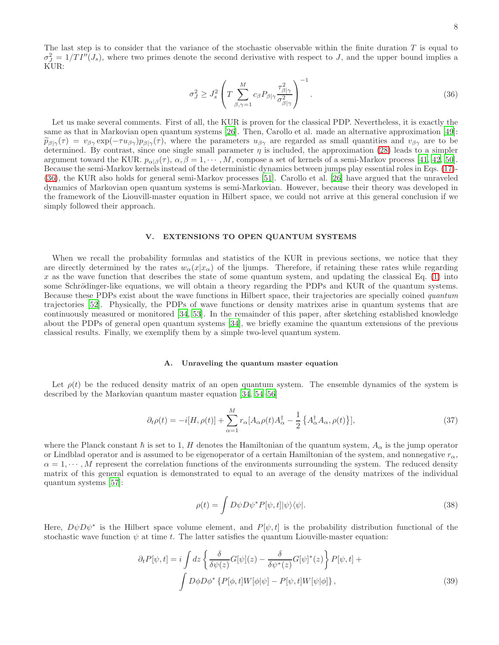<span id="page-7-1"></span>
$$
\sigma_{J}^{2} \ge J_{s}^{2} \left( T \sum_{\beta,\gamma=1}^{M} c_{\beta} P_{\beta|\gamma} \frac{\tau_{\beta|\gamma}^{2}}{\sigma_{\beta|\gamma}^{2}} \right)^{-1}.
$$
\n(36)

Let us make several comments. First of all, the KUR is proven for the classical PDP. Nevertheless, it is exactly the same as that in Markovian open quantum systems [\[26](#page-12-6)]. Then, Carollo et al. made an alternative approximation [\[49\]](#page-13-20):  $\tilde{p}_{\beta|\gamma}(\tau) = v_{\beta\gamma} \exp(-\tau u_{\beta\gamma}) p_{\beta|\gamma}(\tau)$ , where the parameters  $u_{\beta\gamma}$  are regarded as small quantities and  $v_{\beta\gamma}$  are to be determined. By contrast, since one single small parameter  $\eta$  is included, the approximation [\(28\)](#page-6-1) leads to a simpler argument toward the KUR.  $p_{\alpha|\beta}(\tau)$ ,  $\alpha, \beta = 1, \cdots, M$ , compose a set of kernels of a semi-Markov process [\[41,](#page-13-13) [42,](#page-13-14) [50\]](#page-13-21). Because the semi-Markov kernels instead of the deterministic dynamics between jumps play essential roles in Eqs. [\(17\)](#page-4-1)- [\(36\)](#page-7-1), the KUR also holds for general semi-Markov processes [\[51\]](#page-13-22). Carollo et al. [\[26\]](#page-12-6) have argued that the unraveled dynamics of Markovian open quantum systems is semi-Markovian. However, because their theory was developed in the framework of the Liouvill-master equation in Hilbert space, we could not arrive at this general conclusion if we simply followed their approach.

#### <span id="page-7-0"></span>V. EXTENSIONS TO OPEN QUANTUM SYSTEMS

When we recall the probability formulas and statistics of the KUR in previous sections, we notice that they are directly determined by the rates  $w_\alpha(x|x_\alpha)$  of the ljumps. Therefore, if retaining these rates while regarding x as the wave function that describes the state of some quantum system, and updating the classical Eq.  $(1)$  into some Schrödinger-like equations, we will obtain a theory regarding the PDPs and KUR of the quantum systems. Because these PDPs exist about the wave functions in Hilbert space, their trajectories are specially coined quantum trajectories [\[52](#page-13-23)]. Physically, the PDPs of wave functions or density matrixes arise in quantum systems that are continuously measured or monitored [\[34](#page-13-6), [53\]](#page-13-24). In the remainder of this paper, after sketching established knowledge about the PDPs of general open quantum systems [\[34\]](#page-13-6), we briefly examine the quantum extensions of the previous classical results. Finally, we exemplify them by a simple two-level quantum system.

## A. Unraveling the quantum master equation

Let  $\rho(t)$  be the reduced density matrix of an open quantum system. The ensemble dynamics of the system is described by the Markovian quantum master equation [\[34,](#page-13-6) [54](#page-13-25)[–56\]](#page-13-26)

<span id="page-7-4"></span>
$$
\partial_t \rho(t) = -i[H, \rho(t)] + \sum_{\alpha=1}^M r_\alpha [A_\alpha \rho(t) A_\alpha^\dagger - \frac{1}{2} \{ A_\alpha^\dagger A_\alpha, \rho(t) \}], \tag{37}
$$

where the Planck constant  $\hbar$  is set to 1, H denotes the Hamiltonian of the quantum system,  $A_{\alpha}$  is the jump operator or Lindblad operator and is assumed to be eigenoperator of a certain Hamiltonian of the system, and nonnegative  $r_{\alpha}$ ,  $\alpha = 1, \dots, M$  represent the correlation functions of the environments surrounding the system. The reduced density matrix of this general equation is demonstrated to equal to an average of the density matrixes of the individual quantum systems [\[57\]](#page-13-27):

<span id="page-7-3"></span>
$$
\rho(t) = \int D\psi D\psi^* P[\psi, t] |\psi\rangle\langle\psi|.
$$
\n(38)

Here,  $D\psi D\psi^*$  is the Hilbert space volume element, and  $P[\psi, t]$  is the probability distribution functional of the stochastic wave function  $\psi$  at time t. The latter satisfies the quantum Liouville-master equation:

<span id="page-7-2"></span>
$$
\partial_t P[\psi, t] = i \int dz \left\{ \frac{\delta}{\delta \psi(z)} G[\psi](z) - \frac{\delta}{\delta \psi^*(z)} G[\psi]^*(z) \right\} P[\psi, t] +
$$
  

$$
\int D\phi D\phi^* \left\{ P[\phi, t] W[\phi|\psi] - P[\psi, t] W[\psi|\phi] \right\},
$$
(39)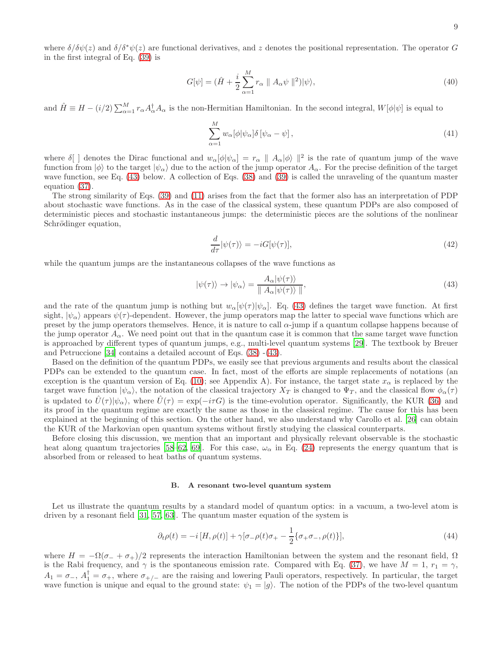9

where  $\delta/\delta\psi(z)$  and  $\delta/\delta^*\psi(z)$  are functional derivatives, and z denotes the positional representation. The operator G in the first integral of Eq. [\(39\)](#page-7-2) is

$$
G[\psi] = (\hat{H} + \frac{i}{2} \sum_{\alpha=1}^{M} r_{\alpha} \parallel A_{\alpha} \psi \parallel^{2}) |\psi\rangle, \qquad (40)
$$

and  $\hat{H} \equiv H - (i/2) \sum_{\alpha=1}^{M} r_{\alpha} A_{\alpha}^{\dagger} A_{\alpha}$  is the non-Hermitian Hamiltonian. In the second integral,  $W[\phi|\psi]$  is equal to

$$
\sum_{\alpha=1}^{M} w_{\alpha} [\phi | \psi_{\alpha}] \delta [\psi_{\alpha} - \psi], \qquad (41)
$$

where  $\delta$ [ ] denotes the Dirac functional and  $w_{\alpha}[\phi|\psi_{\alpha}] = r_{\alpha} || A_{\alpha}|\phi\rangle ||^2$  is the rate of quantum jump of the wave function from  $|\phi\rangle$  to the target  $|\psi_\alpha\rangle$  due to the action of the jump operator  $A_\alpha$ . For the precise definition of the target wave function, see Eq. [\(43\)](#page-8-0) below. A collection of Eqs. [\(38\)](#page-7-3) and [\(39\)](#page-7-2) is called the unraveling of the quantum master equation [\(37\)](#page-7-4).

The strong similarity of Eqs. [\(39\)](#page-7-2) and [\(11\)](#page-3-0) arises from the fact that the former also has an interpretation of PDP about stochastic wave functions. As in the case of the classical system, these quantum PDPs are also composed of deterministic pieces and stochastic instantaneous jumps: the deterministic pieces are the solutions of the nonlinear Schrödinger equation,

<span id="page-8-1"></span>
$$
\frac{d}{d\tau}|\psi(\tau)\rangle = -iG[\psi(\tau)],\tag{42}
$$

while the quantum jumps are the instantaneous collapses of the wave functions as

<span id="page-8-0"></span>
$$
|\psi(\tau)\rangle \to |\psi_{\alpha}\rangle = \frac{A_{\alpha}|\psi(\tau)\rangle}{\parallel A_{\alpha}|\psi(\tau)\rangle \parallel},
$$
\n(43)

and the rate of the quantum jump is nothing but  $w_\alpha[\psi(\tau)|\psi_\alpha]$ . Eq. [\(43\)](#page-8-0) defines the target wave function. At first sight,  $|\psi_{\alpha}\rangle$  appears  $\psi(\tau)$ -dependent. However, the jump operators map the latter to special wave functions which are preset by the jump operators themselves. Hence, it is nature to call  $\alpha$ -jump if a quantum collapse happens because of the jump operator  $A_{\alpha}$ . We need point out that in the quantum case it is common that the same target wave function is approached by different types of quantum jumps, e.g., multi-level quantum systems [\[29\]](#page-13-0). The textbook by Breuer and Petruccione [\[34](#page-13-6)] contains a detailed account of Eqs. [\(38\)](#page-7-3) -[\(43\)](#page-8-0).

Based on the definition of the quantum PDPs, we easily see that previous arguments and results about the classical PDPs can be extended to the quantum case. In fact, most of the efforts are simple replacements of notations (an exception is the quantum version of Eq. [\(10\)](#page-3-2); see Appendix A). For instance, the target state  $x_{\alpha}$  is replaced by the target wave function  $|\psi_{\alpha}\rangle$ , the notation of the classical trajectory  $X_T$  is changed to  $\Psi_T$ , and the classical flow  $\phi_{\alpha}(\tau)$ is updated to  $\hat{U}(\tau)|\psi_{\alpha}\rangle$ , where  $\hat{U}(\tau) = \exp(-i\tau G)$  is the time-evolution operator. Significantly, the KUR [\(36\)](#page-7-1) and its proof in the quantum regime are exactly the same as those in the classical regime. The cause for this has been explained at the beginning of this section. On the other hand, we also understand why Carollo et al. [\[26\]](#page-12-6) can obtain the KUR of the Markovian open quantum systems without firstly studying the classical counterparts.

Before closing this discussion, we mention that an important and physically relevant observable is the stochastic heat along quantum trajectories [\[58](#page-13-28)[–62,](#page-13-29) [69](#page-13-30)]. For this case,  $\omega_{\alpha}$  in Eq. [\(24\)](#page-5-2) represents the energy quantum that is absorbed from or released to heat baths of quantum systems.

#### B. A resonant two-level quantum system

Let us illustrate the quantum results by a standard model of quantum optics: in a vacuum, a two-level atom is driven by a resonant field [\[31](#page-13-3), [57](#page-13-27), [63](#page-13-31)]. The quantum master equation of the system is

<span id="page-8-2"></span>
$$
\partial_t \rho(t) = -i[H, \rho(t)] + \gamma[\sigma_- \rho(t)\sigma_+ - \frac{1}{2}\{\sigma_+ \sigma_-, \rho(t)\}], \tag{44}
$$

where  $H = -\Omega(\sigma_{-} + \sigma_{+})/2$  represents the interaction Hamiltonian between the system and the resonant field,  $\Omega$ is the Rabi frequency, and  $\gamma$  is the spontaneous emission rate. Compared with Eq. [\(37\)](#page-7-4), we have  $M = 1$ ,  $r_1 = \gamma$ ,  $A_1 = \sigma_-, A_1^{\dagger} = \sigma_+,$  where  $\sigma_{+/-}$  are the raising and lowering Pauli operators, respectively. In particular, the target wave function is unique and equal to the ground state:  $\psi_1 = |g\rangle$ . The notion of the PDPs of the two-level quantum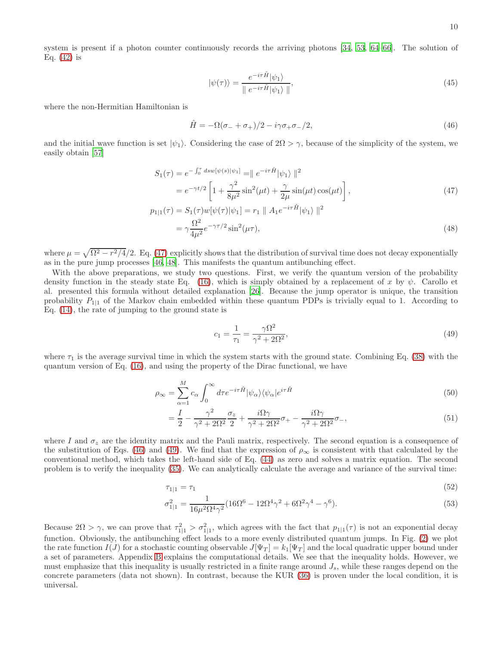10

system is present if a photon counter continuously records the arriving photons [\[34,](#page-13-6) [53,](#page-13-24) [64](#page-13-32)[–66\]](#page-13-33). The solution of Eq.  $(42)$  is

$$
|\psi(\tau)\rangle = \frac{e^{-i\tau\hat{H}}|\psi_1\rangle}{\|\ e^{-i\tau\hat{H}}|\psi_1\rangle\|},\tag{45}
$$

where the non-Hermitian Hamiltonian is

<span id="page-9-1"></span>
$$
\hat{H} = -\Omega(\sigma_- + \sigma_+)/2 - i\gamma\sigma_+\sigma_-/2,\tag{46}
$$

and the initial wave function is set  $|\psi_1\rangle$ . Considering the case of  $2\Omega > \gamma$ , because of the simplicity of the system, we easily obtain [\[57](#page-13-27)]

<span id="page-9-0"></span>
$$
S_1(\tau) = e^{-\int_0^{\tau} ds w[\psi(s)|\psi_1]} = ||e^{-i\tau \hat{H}}|\psi_1\rangle||^2
$$
  
=  $e^{-\gamma t/2} \left[1 + \frac{\gamma^2}{8\mu^2} \sin^2(\mu t) + \frac{\gamma}{2\mu} \sin(\mu t) \cos(\mu t)\right],$  (47)  

$$
p_{1|1}(\tau) = S_1(\tau)w[\psi(\tau)|\psi_1] = r_1 ||A_1e^{-i\tau \hat{H}}|\psi_1\rangle||^2
$$

$$
= \gamma \frac{\Omega^2}{4\mu^2} e^{-\gamma \tau/2} \sin^2(\mu \tau), \tag{48}
$$

where  $\mu = \sqrt{\Omega^2 - r^2/4}/2$ . Eq. [\(47\)](#page-9-0) explicitly shows that the distribution of survival time does not decay exponentially as in the pure jump processes [\[46](#page-13-17), [48](#page-13-19)]. This manifests the quantum antibunching effect.

With the above preparations, we study two questions. First, we verify the quantum version of the probability density function in the steady state Eq. [\(16\)](#page-3-4), which is simply obtained by a replacement of x by  $\psi$ . Carollo et al. presented this formula without detailed explanation [\[26](#page-12-6)]. Because the jump operator is unique, the transition probability  $P_{11}$  of the Markov chain embedded within these quantum PDPs is trivially equal to 1. According to Eq. [\(14\)](#page-3-3), the rate of jumping to the ground state is

<span id="page-9-2"></span>
$$
c_1 = \frac{1}{\tau_1} = \frac{\gamma \Omega^2}{\gamma^2 + 2\Omega^2},\tag{49}
$$

where  $\tau_1$  is the average survival time in which the system starts with the ground state. Combining Eq. [\(38\)](#page-7-3) with the quantum version of Eq. [\(16\)](#page-3-4), and using the property of the Dirac functional, we have

$$
\rho_{\infty} = \sum_{\alpha=1}^{M} c_{\alpha} \int_{0}^{\infty} d\tau e^{-i\tau \hat{H}} |\psi_{\alpha}\rangle\langle\psi_{\alpha}| e^{i\tau \hat{H}}
$$
\n(50)

$$
=\frac{I}{2}-\frac{\gamma^2}{\gamma^2+2\Omega^2}\frac{\sigma_z}{2}+\frac{i\Omega\gamma}{\gamma^2+2\Omega^2}\sigma_+ -\frac{i\Omega\gamma}{\gamma^2+2\Omega^2}\sigma_-,
$$
\n(51)

where I and  $\sigma_z$  are the identity matrix and the Pauli matrix, respectively. The second equation is a consequence of the substitution of Eqs. [\(46\)](#page-9-1) and [\(49\)](#page-9-2). We find that the expression of  $\rho_{\infty}$  is consistent with that calculated by the conventional method, which takes the left-hand side of Eq. [\(44\)](#page-8-2) as zero and solves a matrix equation. The second problem is to verify the inequality [\(35\)](#page-6-4). We can analytically calculate the average and variance of the survival time:

$$
\tau_{1|1} = \tau_1 \tag{52}
$$

$$
\sigma_{1|1}^2 = \frac{1}{16\mu^2 \Omega^4 \gamma^2} (16\Omega^6 - 12\Omega^4 \gamma^2 + 6\Omega^2 \gamma^4 - \gamma^6). \tag{53}
$$

Because  $2\Omega > \gamma$ , we can prove that  $\tau_{1|1}^2 > \sigma_{1|1}^2$ , which agrees with the fact that  $p_{1|1}(\tau)$  is not an exponential decay function. Obviously, the antibunching effect leads to a more evenly distributed quantum jumps. In Fig. [\(2\)](#page-10-1) we plot the rate function  $I(J)$  for a stochastic counting observable  $J[\Psi_T] = k_1[\Psi_T]$  and the local quadratic upper bound under a set of parameters. Appendix [B](#page-11-0) explains the computational details. We see that the inequality holds. However, we must emphasize that this inequality is usually restricted in a finite range around  $J_s$ , while these ranges depend on the concrete parameters (data not shown). In contrast, because the KUR [\(36\)](#page-7-1) is proven under the local condition, it is universal.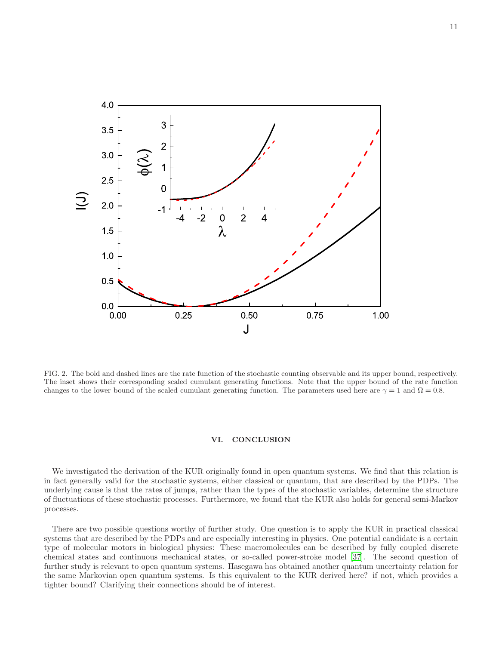

<span id="page-10-1"></span>FIG. 2. The bold and dashed lines are the rate function of the stochastic counting observable and its upper bound, respectively. The inset shows their corresponding scaled cumulant generating functions. Note that the upper bound of the rate function changes to the lower bound of the scaled cumulant generating function. The parameters used here are  $\gamma = 1$  and  $\Omega = 0.8$ .

#### <span id="page-10-0"></span>VI. CONCLUSION

We investigated the derivation of the KUR originally found in open quantum systems. We find that this relation is in fact generally valid for the stochastic systems, either classical or quantum, that are described by the PDPs. The underlying cause is that the rates of jumps, rather than the types of the stochastic variables, determine the structure of fluctuations of these stochastic processes. Furthermore, we found that the KUR also holds for general semi-Markov processes.

There are two possible questions worthy of further study. One question is to apply the KUR in practical classical systems that are described by the PDPs and are especially interesting in physics. One potential candidate is a certain type of molecular motors in biological physics: These macromolecules can be described by fully coupled discrete chemical states and continuous mechanical states, or so-called power-stroke model [\[37](#page-13-9)]. The second question of further study is relevant to open quantum systems. Hasegawa has obtained another quantum uncertainty relation for the same Markovian open quantum systems. Is this equivalent to the KUR derived here? if not, which provides a tighter bound? Clarifying their connections should be of interest.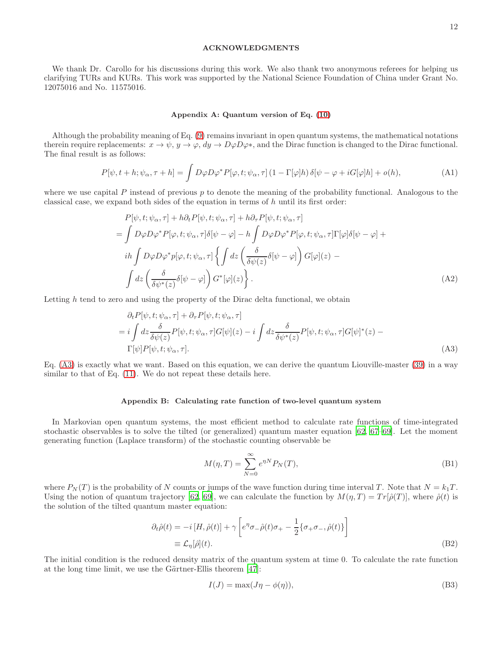### ACKNOWLEDGMENTS

We thank Dr. Carollo for his discussions during this work. We also thank two anonymous referees for helping us clarifying TURs and KURs. This work was supported by the National Science Foundation of China under Grant No. 12075016 and No. 11575016.

#### Appendix A: Quantum version of Eq. [\(10\)](#page-3-2)

Although the probability meaning of Eq. [\(9\)](#page-3-1) remains invariant in open quantum systems, the mathematical notations therein require replacements:  $x \to \psi$ ,  $y \to \varphi$ ,  $dy \to D\varphi D\varphi^*$ , and the Dirac function is changed to the Dirac functional. The final result is as follows:

$$
P[\psi, t+h; \psi_{\alpha}, \tau+h] = \int D\varphi D\varphi^* P[\varphi, t; \psi_{\alpha}, \tau] (1 - \Gamma[\varphi]h) \delta[\psi - \varphi + iG[\varphi]h] + o(h), \tag{A1}
$$

where we use capital  $P$  instead of previous  $p$  to denote the meaning of the probability functional. Analogous to the classical case, we expand both sides of the equation in terms of  $h$  until its first order:

$$
P[\psi, t; \psi_{\alpha}, \tau] + h \partial_{t} P[\psi, t; \psi_{\alpha}, \tau] + h \partial_{\tau} P[\psi, t; \psi_{\alpha}, \tau]
$$
  
\n
$$
= \int D\varphi D\varphi^{*} P[\varphi, t; \psi_{\alpha}, \tau] \delta[\psi - \varphi] - h \int D\varphi D\varphi^{*} P[\varphi, t; \psi_{\alpha}, \tau] \Gamma[\varphi] \delta[\psi - \varphi] +
$$
  
\n
$$
i h \int D\varphi D\varphi^{*} p[\varphi, t; \psi_{\alpha}, \tau] \left\{ \int dz \left( \frac{\delta}{\delta \psi(z)} \delta[\psi - \varphi] \right) G[\varphi](z) -
$$
  
\n
$$
\int dz \left( \frac{\delta}{\delta \psi^{*}(z)} \delta[\psi - \varphi] \right) G^{*}[\varphi](z) \right\}.
$$
\n(A2)

Letting  $h$  tend to zero and using the property of the Dirac delta functional, we obtain

<span id="page-11-1"></span>
$$
\partial_t P[\psi, t; \psi_\alpha, \tau] + \partial_\tau P[\psi, t; \psi_\alpha, \tau]
$$
  
=  $i \int dz \frac{\delta}{\delta \psi(z)} P[\psi, t; \psi_\alpha, \tau] G[\psi](z) - i \int dz \frac{\delta}{\delta \psi^*(z)} P[\psi, t; \psi_\alpha, \tau] G[\psi]^*(z) - \Gamma[\psi] P[\psi, t; \psi_\alpha, \tau].$  (A3)

Eq. [\(A3\)](#page-11-1) is exactly what we want. Based on this equation, we can derive the quantum Liouville-master [\(39\)](#page-7-2) in a way similar to that of Eq. [\(11\)](#page-3-0). We do not repeat these details here.

#### <span id="page-11-0"></span>Appendix B: Calculating rate function of two-level quantum system

In Markovian open quantum systems, the most efficient method to calculate rate functions of time-integrated stochastic observables is to solve the tilted (or generalized) quantum master equation [\[62](#page-13-29), [67](#page-13-34)[–69\]](#page-13-30). Let the moment generating function (Laplace transform) of the stochastic counting observable be

<span id="page-11-3"></span>
$$
M(\eta, T) = \sum_{N=0}^{\infty} e^{\eta N} P_N(T), \tag{B1}
$$

where  $P_N(T)$  is the probability of N counts or jumps of the wave function during time interval T. Note that  $N = k_1T$ . Using the notion of quantum trajectory [\[62,](#page-13-29) [69\]](#page-13-30), we can calculate the function by  $M(\eta, T) = Tr[\hat{\rho}(T)]$ , where  $\hat{\rho}(t)$  is the solution of the tilted quantum master equation:

<span id="page-11-2"></span>
$$
\partial_t \hat{\rho}(t) = -i[H, \hat{\rho}(t)] + \gamma \left[ e^{\eta} \sigma_- \hat{\rho}(t) \sigma_+ - \frac{1}{2} \{ \sigma_+ \sigma_- , \hat{\rho}(t) \} \right]
$$
  

$$
\equiv \mathcal{L}_{\eta}[\hat{\rho}](t).
$$
 (B2)

The initial condition is the reduced density matrix of the quantum system at time 0. To calculate the rate function at the long time limit, we use the Gärtner-Ellis theorem  $[47]$ :

$$
I(J) = \max(J\eta - \phi(\eta)),\tag{B3}
$$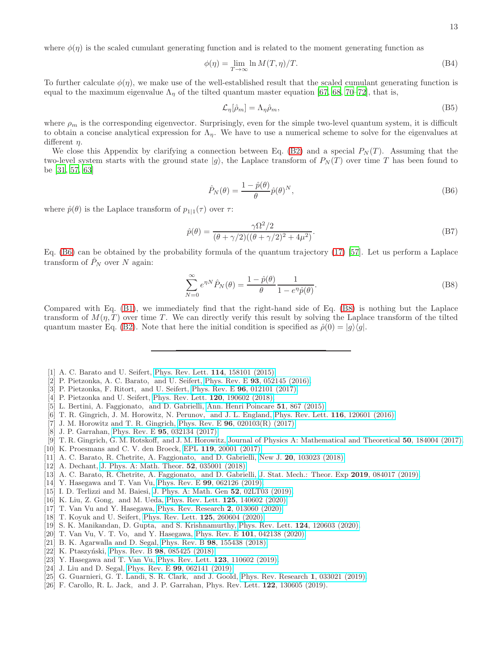where  $\phi(\eta)$  is the scaled cumulant generating function and is related to the moment generating function as

$$
\phi(\eta) = \lim_{T \to \infty} \ln M(T, \eta) / T. \tag{B4}
$$

To further calculate  $\phi(\eta)$ , we make use of the well-established result that the scaled cumulant generating function is equal to the maximum eigenvalue  $\Lambda_{\eta}$  of the tilted quantum master equation [\[67](#page-13-34), [68](#page-13-35), [70](#page-13-36)[–72](#page-13-37)], that is,

$$
\mathcal{L}_{\eta}[\hat{\rho}_m] = \Lambda_{\eta}\hat{\rho}_m,\tag{B5}
$$

where  $\rho_m$  is the corresponding eigenvector. Surprisingly, even for the simple two-level quantum system, it is difficult to obtain a concise analytical expression for  $\Lambda_n$ . We have to use a numerical scheme to solve for the eigenvalues at different  $\eta$ .

We close this Appendix by clarifying a connection between Eq. [\(B2\)](#page-11-2) and a special  $P<sub>N</sub>(T)$ . Assuming that the two-level system starts with the ground state  $|g\rangle$ , the Laplace transform of  $P_N(T)$  over time T has been found to be [\[31](#page-13-3), [57](#page-13-27), [63\]](#page-13-31)

<span id="page-12-9"></span>
$$
\hat{P}_N(\theta) = \frac{1 - \hat{p}(\theta)}{\theta} \hat{p}(\theta)^N, \tag{B6}
$$

where  $\hat{p}(\theta)$  is the Laplace transform of  $p_{1|1}(\tau)$  over  $\tau$ :

$$
\hat{p}(\theta) = \frac{\gamma \Omega^2 / 2}{(\theta + \gamma / 2)((\theta + \gamma / 2)^2 + 4\mu^2)}.
$$
\n(B7)

Eq. [\(B6\)](#page-12-9) can be obtained by the probability formula of the quantum trajectory [\(17\)](#page-4-1) [\[57\]](#page-13-27). Let us perform a Laplace transform of  $\hat{P}_N$  over N again:

<span id="page-12-10"></span>
$$
\sum_{N=0}^{\infty} e^{\eta N} \hat{P}_N(\theta) = \frac{1 - \hat{p}(\theta)}{\theta} \frac{1}{1 - e^{\eta} \hat{p}(\theta)}.
$$
\n(B8)

Compared with Eq. [\(B1\)](#page-11-3), we immediately find that the right-hand side of Eq. [\(B8\)](#page-12-10) is nothing but the Laplace transform of  $M(\eta, T)$  over time T. We can directly verify this result by solving the Laplace transform of the tilted quantum master Eq. [\(B2\)](#page-11-2). Note that here the initial condition is specified as  $\hat{\rho}(0) = |g\rangle\langle g|$ .

- <span id="page-12-0"></span>[1] A. C. Barato and U. Seifert, [Phys. Rev. Lett.](http://dx.doi.org/10.1103/PhysRevLett.114.158101) **114**, 158101 (2015).
- [2] P. Pietzonka, A. C. Barato, and U. Seifert, Phys. Rev. E 93[, 052145 \(2016\).](http://dx.doi.org/10.1103/PhysRevE.93.052145)
- [3] P. Pietzonka, F. Ritort, and U. Seifert, Phys. Rev. E 96[, 012101 \(2017\).](http://dx.doi.org/10.1103/PhysRevE.96.012101)
- [4] P. Pietzonka and U. Seifert, [Phys. Rev. Lett.](http://dx.doi.org/10.1103/PhysRevLett.120.190602) 120, 190602 (2018).
- [5] L. Bertini, A. Faggionato, and D. Gabrielli, [Ann. Henri Poincare](http://dx.doi.org/10.1214/14-aihp601) 51, 867 (2015).
- <span id="page-12-2"></span>[6] T. R. Gingrich, J. M. Horowitz, N. Perunov, and J. L. England, [Phys. Rev. Lett.](http://dx.doi.org/10.1103/PhysRevLett.116.120601) 116, 120601 (2016).
- [7] J. M. Horowitz and T. R. Gingrich, Phys. Rev. E  $96$ ,  $020103(R)$  (2017).
- <span id="page-12-3"></span>[8] J. P. Garrahan, Phys. Rev. E 95[, 032134 \(2017\).](http://dx.doi.org/10.1103/PhysRevE.95.032134)
- [9] T. R. Gingrich, G. M. Rotskoff, and J. M. Horowitz, Journal [of Physics A: Mathematical and Theoretical](http://dx.doi.org/10.1088/1751-8121/aa672f) 50, 184004 (2017).
- [10] K. Proesmans and C. V. den Broeck, EPL 119[, 20001 \(2017\).](http://dx.doi.org/10.1209/0295-5075/119/20001)
- <span id="page-12-7"></span>[11] A. C. Barato, R. Chetrite, A. Faggionato, and D. Gabrielli, New J. 20[, 103023 \(2018\).](http://dx.doi.org/10.1088/1367-2630/aae512)
- [12] A. Dechant, [J. Phys. A: Math. Theor.](http://dx.doi.org/10.1088/1751-8121/aaf3ff) **52**, 035001 (2018).
- <span id="page-12-8"></span>[13] A. C. Barato, R. Chetrite, A. Faggionato, and D. Gabrielli, [J. Stat. Mech.: Theor. Exp](http://dx.doi.org/10.1088/1742-5468/ab3457) 2019, 084017 (2019).
- [14] Y. Hasegawa and T. Van Vu, Phys. Rev. E 99[, 062126 \(2019\).](http://dx.doi.org/10.1103/PhysRevE.99.062126)
- <span id="page-12-4"></span>[15] I. D. Terlizzi and M. Baiesi, [J. Phys. A: Math. Gen](http://dx.doi.org/10.1088/1751-8121/aaee34) 52, 02LT03 (2019).
- [16] K. Liu, Z. Gong, and M. Ueda, [Phys. Rev. Lett.](http://dx.doi.org/ 10.1103/PhysRevLett.125.140602) 125, 140602 (2020).
- [17] T. Van Vu and Y. Hasegawa, [Phys. Rev. Research](http://dx.doi.org/10.1103/PhysRevResearch.2.013060) 2, 013060 (2020).
- [18] T. Koyuk and U. Seifert, [Phys. Rev. Lett.](http://dx.doi.org/10.1103/PhysRevLett.125.260604) 125, 260604 (2020).
- [19] S. K. Manikandan, D. Gupta, and S. Krishnamurthy, Phys. Rev. Lett. **124**[, 120603 \(2020\).](http://dx.doi.org/10.1103/PhysRevLett.124.120603)
- <span id="page-12-1"></span>[20] T. Van Vu, V. T. Vo, and Y. Hasegawa, Phys. Rev. E 101[, 042138 \(2020\).](http://dx.doi.org/10.1103/PhysRevE.101.042138)
- <span id="page-12-5"></span>[21] B. K. Agarwalla and D. Segal, Phys. Rev. B 98[, 155438 \(2018\).](http://dx.doi.org/10.1103/PhysRevB.98.155438)
- [22] K. Ptaszyński, Phys. Rev. B 98[, 085425 \(2018\).](http://dx.doi.org/ 10.1103/PhysRevB.98.085425)
- [23] Y. Hasegawa and T. Van Vu, [Phys. Rev. Lett.](http://dx.doi.org/10.1103/PhysRevLett.123.110602) **123**, 110602 (2019).
- [24] J. Liu and D. Segal, Phys. Rev. E 99[, 062141 \(2019\).](http://dx.doi.org/10.1103/PhysRevE.99.062141)
- [25] G. Guarnieri, G. T. Landi, S. R. Clark, and J. Goold, [Phys. Rev. Research](http://dx.doi.org/10.1103/PhysRevResearch.1.033021) 1, 033021 (2019).
- <span id="page-12-6"></span>[26] F. Carollo, R. L. Jack, and J. P. Garrahan, Phys. Rev. Lett. 122, 130605 (2019).